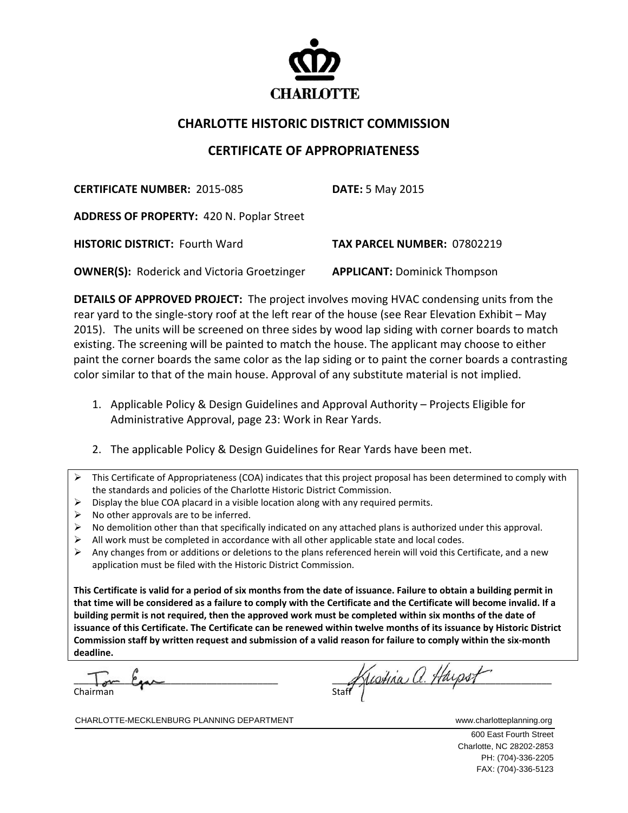

## **CHARLOTTE HISTORIC DISTRICT COMMISSION**

## **CERTIFICATE OF APPROPRIATENESS**

**CERTIFICATE NUMBER:** 2015‐085 **DATE:** 5 May 2015

**ADDRESS OF PROPERTY:** 420 N. Poplar Street

**HISTORIC DISTRICT:** Fourth Ward  **TAX PARCEL NUMBER:** 07802219

**OWNER(S):** Roderick and Victoria Groetzinger **APPLICANT:** Dominick Thompson

**DETAILS OF APPROVED PROJECT:** The project involves moving HVAC condensing units from the rear yard to the single‐story roof at the left rear of the house (see Rear Elevation Exhibit – May 2015). The units will be screened on three sides by wood lap siding with corner boards to match existing. The screening will be painted to match the house. The applicant may choose to either paint the corner boards the same color as the lap siding or to paint the corner boards a contrasting color similar to that of the main house. Approval of any substitute material is not implied.

- 1. Applicable Policy & Design Guidelines and Approval Authority Projects Eligible for Administrative Approval, page 23: Work in Rear Yards.
- 2. The applicable Policy & Design Guidelines for Rear Yards have been met.
- This Certificate of Appropriateness (COA) indicates that this project proposal has been determined to comply with the standards and policies of the Charlotte Historic District Commission.
- $\triangleright$  Display the blue COA placard in a visible location along with any required permits.
- $\triangleright$  No other approvals are to be inferred.
- No demolition other than that specifically indicated on any attached plans is authorized under this approval.
- $\triangleright$  All work must be completed in accordance with all other applicable state and local codes.
- $\triangleright$  Any changes from or additions or deletions to the plans referenced herein will void this Certificate, and a new application must be filed with the Historic District Commission.

This Certificate is valid for a period of six months from the date of issuance. Failure to obtain a building permit in that time will be considered as a failure to comply with the Certificate and the Certificate will become invalid. If a building permit is not required, then the approved work must be completed within six months of the date of issuance of this Certificate. The Certificate can be renewed within twelve months of its issuance by Historic District Commission staff by written request and submission of a valid reason for failure to comply within the six-month **deadline.**

Chairman

 $\frac{1}{2}$ \_\_\_\_\_\_\_\_\_\_\_\_\_\_\_\_\_\_\_\_\_\_\_\_\_\_\_\_\_\_\_\_\_\_\_\_\_\_\_\_ \_\_\_\_\_\_\_\_\_\_\_\_\_\_\_\_\_\_\_\_\_\_\_\_\_\_\_\_\_\_\_\_\_\_\_\_\_\_\_\_\_\_\_

CHARLOTTE-MECKLENBURG PLANNING DEPARTMENT WWW.charlotteplanning.org

600 East Fourth Street Charlotte, NC 28202-2853 PH: (704)-336-2205 FAX: (704)-336-5123